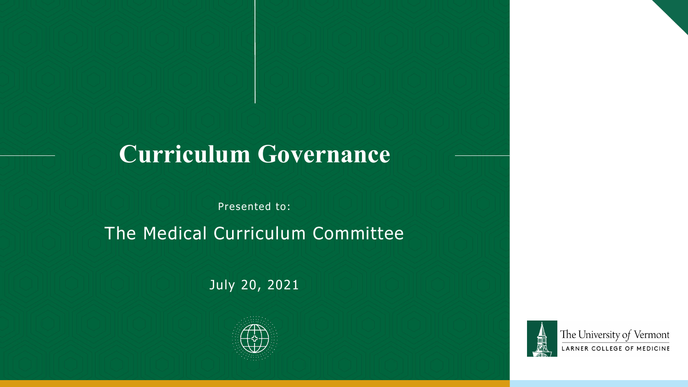## **Curriculum Governance**

Presented to:

The Medical Curriculum Committee

July 20, 2021



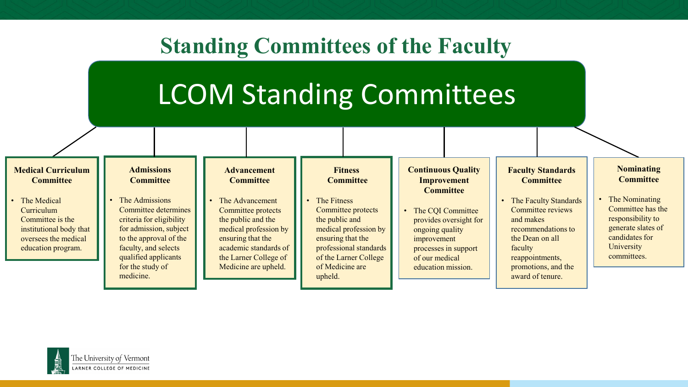#### **Standing Committees of the Faculty**

## LCOM Standing Committees



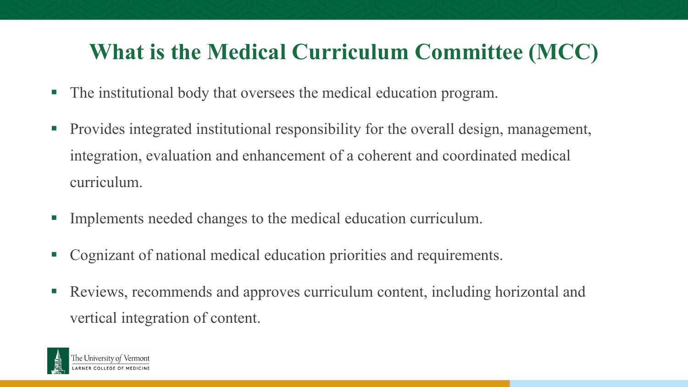## **What is the Medical Curriculum Committee (MCC)**

- The institutional body that oversees the medical education program.
- **Provides integrated institutional responsibility for the overall design, management,** integration, evaluation and enhancement of a coherent and coordinated medical curriculum.
- Implements needed changes to the medical education curriculum.
- Cognizant of national medical education priorities and requirements.
- Reviews, recommends and approves curriculum content, including horizontal and vertical integration of content.

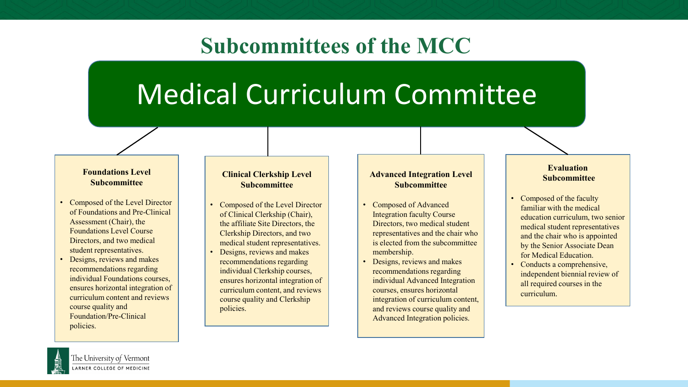#### **Subcommittees of the MCC**

# Medical Curriculum Committee

#### **Foundations Level Subcommittee**

- Composed of the Level Director of Foundations and Pre-Clinical Assessment (Chair), the Foundations Level Course Directors, and two medical student representatives.
- Designs, reviews and makes recommendations regarding individual Foundations courses, ensures horizontal integration of curriculum content and reviews course quality and Foundation/Pre-Clinical policies.

#### **Clinical Clerkship Level Subcommittee**

- Composed of the Level Director of Clinical Clerkship (Chair), the affiliate Site Directors, the Clerkship Directors, and two medical student representatives.
- Designs, reviews and makes recommendations regarding individual Clerkship courses, ensures horizontal integration of curriculum content, and reviews course quality and Clerkship policies.

#### **Advanced Integration Level Subcommittee**

- Composed of Advanced Integration faculty Course Directors, two medical student representatives and the chair who is elected from the subcommittee membership.
- Designs, reviews and makes recommendations regarding individual Advanced Integration courses, ensures horizontal integration of curriculum content, and reviews course quality and Advanced Integration policies.

#### **Evaluation Subcommittee**

- Composed of the faculty familiar with the medical education curriculum, two senior medical student representatives and the chair who is appointed by the Senior Associate Dean for Medical Education.
- Conducts a comprehensive, independent biennial review of all required courses in the curriculum.

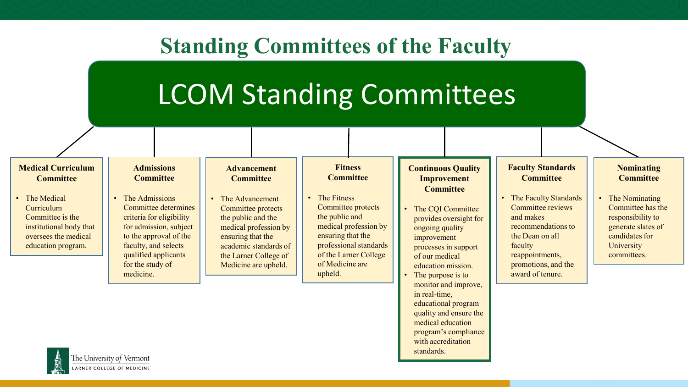#### **Standing Committees of the Faculty**

## LCOM Standing Committees

#### **Continuous Quality Improvement Committee** The COI Committee provides oversight for ongoing quality improvement processes in support of our medical education mission. The purpose is to monitor and improve, in real-time, educational program quality and ensure the medical education program's compliance **Admissions Committee** • The Admissions Committee determines criteria for eligibility for admission, subject to the approval of the faculty, and selects qualified applicants for the study of medicine. **Advancement Committee** • The Advancement Committee protects the public and the medical profession by ensuring that the academic standards of the Larner College of Medicine are upheld. **Fitness Committee The Fitness** Committee protects the public and medical profession by ensuring that the professional standards of the Larner College of Medicine are upheld. **Nominating Committee** • The Nominating Committee has the responsibility to generate slates of candidates for **University** committees. **Faculty Standards Committee** • The Faculty Standards Committee reviews and makes recommendations to the Dean on all faculty reappointments, promotions, and the award of tenure. **Medical Curriculum Committee** • The Medical Curriculum Committee is the institutional body that oversees the medical education program.

with accreditation

standards.

The University of Vermont LARNER COLLEGE OF MEDICINE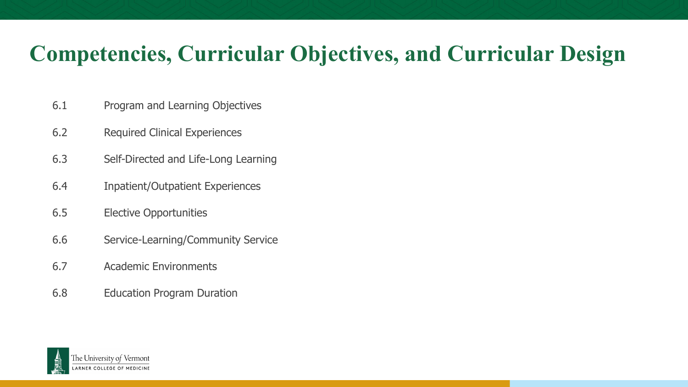## **Competencies, Curricular Objectives, and Curricular Design**

- 6.1 Program and Learning Objectives
- 6.2 Required Clinical Experiences
- 6.3 Self-Directed and Life-Long Learning
- 6.4 Inpatient/Outpatient Experiences
- 6.5 Elective Opportunities
- 6.6 Service-Learning/Community Service
- 6.7 Academic Environments
- 6.8 Education Program Duration

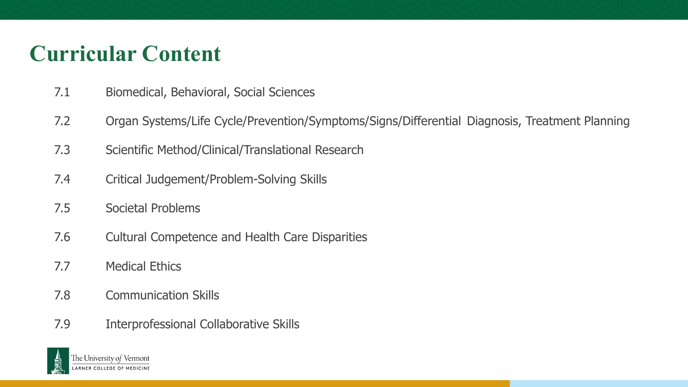## **Curricular Content**

- 7.1 Biomedical, Behavioral, Social Sciences
- 7.2 Organ Systems/Life Cycle/Prevention/Symptoms/Signs/Differential Diagnosis, Treatment Planning
- 7.3 Scientific Method/Clinical/Translational Research
- 7.4 Critical Judgement/Problem-Solving Skills
- 7.5 Societal Problems
- 7.6 Cultural Competence and Health Care Disparities
- 7.7 Medical Ethics
- 7.8 Communication Skills
- 7.9 Interprofessional Collaborative Skills

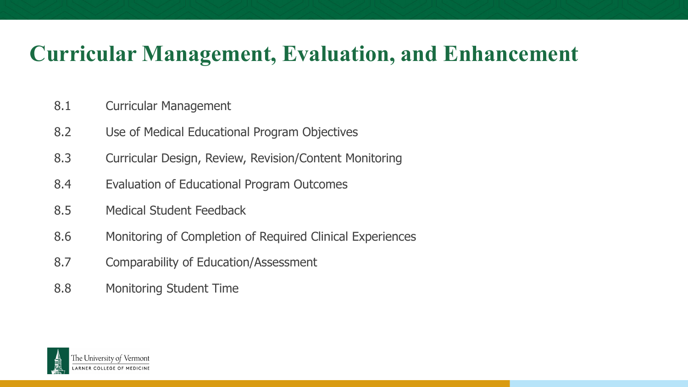#### **Curricular Management, Evaluation, and Enhancement**

- 8.1 Curricular Management
- 8.2 Use of Medical Educational Program Objectives
- 8.3 Curricular Design, Review, Revision/Content Monitoring
- 8.4 Evaluation of Educational Program Outcomes
- 8.5 Medical Student Feedback
- 8.6 Monitoring of Completion of Required Clinical Experiences
- 8.7 Comparability of Education/Assessment
- 8.8 Monitoring Student Time

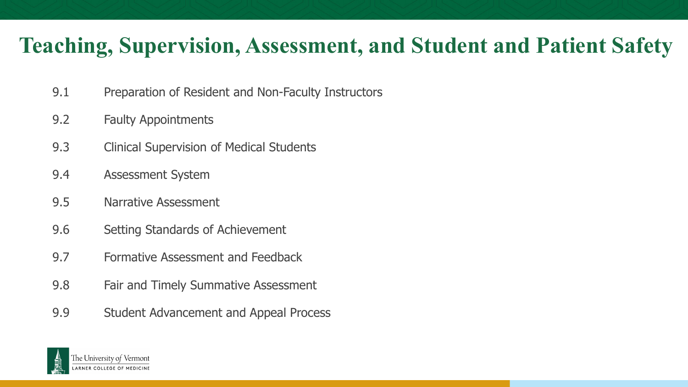#### **Teaching, Supervision, Assessment, and Student and Patient Safety**

- 9.1 Preparation of Resident and Non-Faculty Instructors
- 9.2 Faulty Appointments
- 9.3 Clinical Supervision of Medical Students
- 9.4 Assessment System
- 9.5 Narrative Assessment
- 9.6 Setting Standards of Achievement
- 9.7 Formative Assessment and Feedback
- 9.8 Fair and Timely Summative Assessment
- 9.9 Student Advancement and Appeal Process

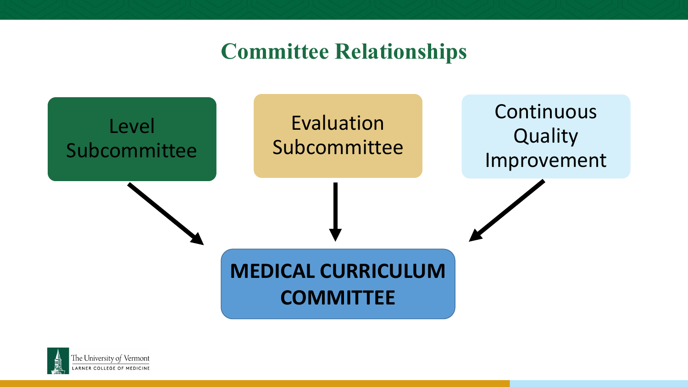#### **Committee Relationships**



![](_page_9_Picture_2.jpeg)